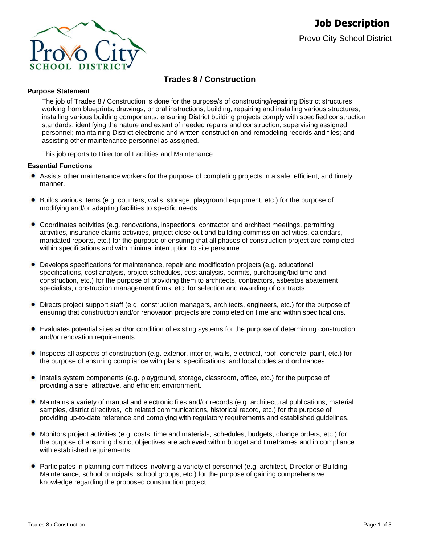

# **Trades 8 / Construction**

## **Purpose Statement**

The job of Trades 8 / Construction is done for the purpose/s of constructing/repairing District structures working from blueprints, drawings, or oral instructions; building, repairing and installing various structures; installing various building components; ensuring District building projects comply with specified construction standards; identifying the nature and extent of needed repairs and construction; supervising assigned personnel; maintaining District electronic and written construction and remodeling records and files; and assisting other maintenance personnel as assigned.

This job reports to Director of Facilities and Maintenance

## **Essential Functions**

- Assists other maintenance workers for the purpose of completing projects in a safe, efficient, and timely manner.
- **Builds various items (e.g. counters, walls, storage, playground equipment, etc.) for the purpose of** modifying and/or adapting facilities to specific needs.
- Coordinates activities (e.g. renovations, inspections, contractor and architect meetings, permitting activities, insurance claims activities, project close-out and building commission activities, calendars, mandated reports, etc.) for the purpose of ensuring that all phases of construction project are completed within specifications and with minimal interruption to site personnel.
- Develops specifications for maintenance, repair and modification projects (e.g. educational specifications, cost analysis, project schedules, cost analysis, permits, purchasing/bid time and construction, etc.) for the purpose of providing them to architects, contractors, asbestos abatement specialists, construction management firms, etc. for selection and awarding of contracts.
- Directs project support staff (e.g. construction managers, architects, engineers, etc.) for the purpose of ensuring that construction and/or renovation projects are completed on time and within specifications.
- Evaluates potential sites and/or condition of existing systems for the purpose of determining construction and/or renovation requirements.
- Inspects all aspects of construction (e.g. exterior, interior, walls, electrical, roof, concrete, paint, etc.) for the purpose of ensuring compliance with plans, specifications, and local codes and ordinances.
- Installs system components (e.g. playground, storage, classroom, office, etc.) for the purpose of providing a safe, attractive, and efficient environment.
- Maintains a variety of manual and electronic files and/or records (e.g. architectural publications, material samples, district directives, job related communications, historical record, etc.) for the purpose of providing up-to-date reference and complying with regulatory requirements and established guidelines.
- Monitors project activities (e.g. costs, time and materials, schedules, budgets, change orders, etc.) for the purpose of ensuring district objectives are achieved within budget and timeframes and in compliance with established requirements.
- Participates in planning committees involving a variety of personnel (e.g. architect, Director of Building Maintenance, school principals, school groups, etc.) for the purpose of gaining comprehensive knowledge regarding the proposed construction project.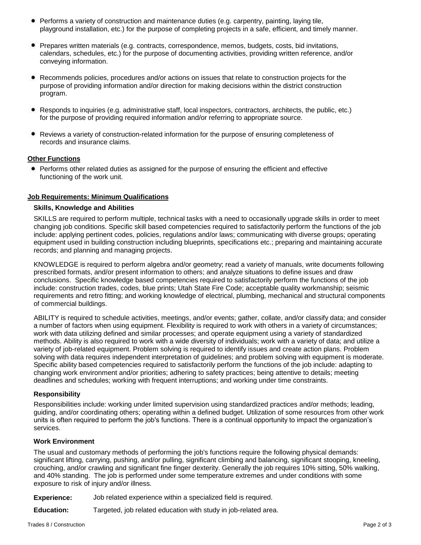- **•** Performs a variety of construction and maintenance duties (e.g. carpentry, painting, laying tile, playground installation, etc.) for the purpose of completing projects in a safe, efficient, and timely manner.
- Prepares written materials (e.g. contracts, correspondence, memos, budgets, costs, bid invitations, calendars, schedules, etc.) for the purpose of documenting activities, providing written reference, and/or conveying information.
- Recommends policies, procedures and/or actions on issues that relate to construction projects for the purpose of providing information and/or direction for making decisions within the district construction program.
- Responds to inquiries (e.g. administrative staff, local inspectors, contractors, architects, the public, etc.) for the purpose of providing required information and/or referring to appropriate source.
- Reviews a variety of construction-related information for the purpose of ensuring completeness of records and insurance claims.

## **Other Functions**

• Performs other related duties as assigned for the purpose of ensuring the efficient and effective functioning of the work unit.

#### **Job Requirements: Minimum Qualifications**

#### **Skills, Knowledge and Abilities**

SKILLS are required to perform multiple, technical tasks with a need to occasionally upgrade skills in order to meet changing job conditions. Specific skill based competencies required to satisfactorily perform the functions of the job include: applying pertinent codes, policies, regulations and/or laws; communicating with diverse groups; operating equipment used in building construction including blueprints, specifications etc.; preparing and maintaining accurate records; and planning and managing projects.

KNOWLEDGE is required to perform algebra and/or geometry; read a variety of manuals, write documents following prescribed formats, and/or present information to others; and analyze situations to define issues and draw conclusions. Specific knowledge based competencies required to satisfactorily perform the functions of the job include: construction trades, codes, blue prints; Utah State Fire Code; acceptable quality workmanship; seismic requirements and retro fitting; and working knowledge of electrical, plumbing, mechanical and structural components of commercial buildings.

ABILITY is required to schedule activities, meetings, and/or events; gather, collate, and/or classify data; and consider a number of factors when using equipment. Flexibility is required to work with others in a variety of circumstances; work with data utilizing defined and similar processes; and operate equipment using a variety of standardized methods. Ability is also required to work with a wide diversity of individuals; work with a variety of data; and utilize a variety of job-related equipment. Problem solving is required to identify issues and create action plans. Problem solving with data requires independent interpretation of guidelines; and problem solving with equipment is moderate. Specific ability based competencies required to satisfactorily perform the functions of the job include: adapting to changing work environment and/or priorities; adhering to safety practices; being attentive to details; meeting deadlines and schedules; working with frequent interruptions; and working under time constraints.

#### **Responsibility**

Responsibilities include: working under limited supervision using standardized practices and/or methods; leading, guiding, and/or coordinating others; operating within a defined budget. Utilization of some resources from other work units is often required to perform the job's functions. There is a continual opportunity to impact the organization's services.

#### **Work Environment**

The usual and customary methods of performing the job's functions require the following physical demands: significant lifting, carrying, pushing, and/or pulling, significant climbing and balancing, significant stooping, kneeling, crouching, and/or crawling and significant fine finger dexterity. Generally the job requires 10% sitting, 50% walking, and 40% standing. The job is performed under some temperature extremes and under conditions with some exposure to risk of injury and/or illness.

**Experience:** Job related experience within a specialized field is required.

**Education:** Targeted, job related education with study in job-related area.